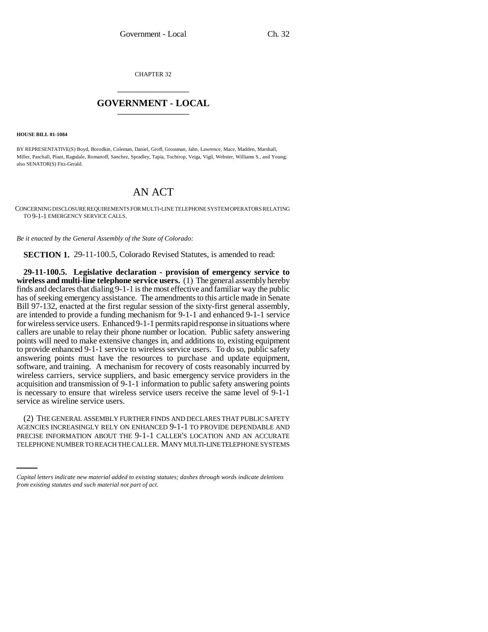CHAPTER 32 \_\_\_\_\_\_\_\_\_\_\_\_\_\_\_

## **GOVERNMENT - LOCAL** \_\_\_\_\_\_\_\_\_\_\_\_\_\_\_

**HOUSE BILL 01-1084**

BY REPRESENTATIVE(S) Boyd, Borodkin, Coleman, Daniel, Groff, Grossman, Jahn, Lawrence, Mace, Madden, Marshall, Miller, Paschall, Plant, Ragsdale, Romanoff, Sanchez, Spradley, Tapia, Tochtrop, Veiga, Vigil, Webster, Williams S., and Young; also SENATOR(S) Fitz-Gerald.

## AN ACT

CONCERNING DISCLOSURE REQUIREMENTS FOR MULTI-LINE TELEPHONE SYSTEM OPERATORS RELATING TO 9-1-1 EMERGENCY SERVICE CALLS.

*Be it enacted by the General Assembly of the State of Colorado:*

**SECTION 1.** 29-11-100.5, Colorado Revised Statutes, is amended to read:

**29-11-100.5. Legislative declaration - provision of emergency service to wireless and multi-line telephone service users.** (1) The general assembly hereby finds and declares that dialing 9-1-1 is the most effective and familiar way the public has of seeking emergency assistance. The amendments to this article made in Senate Bill 97-132, enacted at the first regular session of the sixty-first general assembly, are intended to provide a funding mechanism for 9-1-1 and enhanced 9-1-1 service for wireless service users. Enhanced 9-1-1 permits rapid response in situations where callers are unable to relay their phone number or location. Public safety answering points will need to make extensive changes in, and additions to, existing equipment to provide enhanced 9-1-1 service to wireless service users. To do so, public safety answering points must have the resources to purchase and update equipment, software, and training. A mechanism for recovery of costs reasonably incurred by wireless carriers, service suppliers, and basic emergency service providers in the acquisition and transmission of 9-1-1 information to public safety answering points is necessary to ensure that wireless service users receive the same level of 9-1-1 service as wireline service users.

AGENCIES INCREASINGLY RELY ON ENHANCED 9-1-1 TO PROVIDE DEPENDABLE AND (2) THE GENERAL ASSEMBLY FURTHER FINDS AND DECLARES THAT PUBLIC SAFETY PRECISE INFORMATION ABOUT THE 9-1-1 CALLER'S LOCATION AND AN ACCURATE TELEPHONE NUMBER TO REACH THE CALLER. MANY MULTI-LINE TELEPHONE SYSTEMS

*Capital letters indicate new material added to existing statutes; dashes through words indicate deletions from existing statutes and such material not part of act.*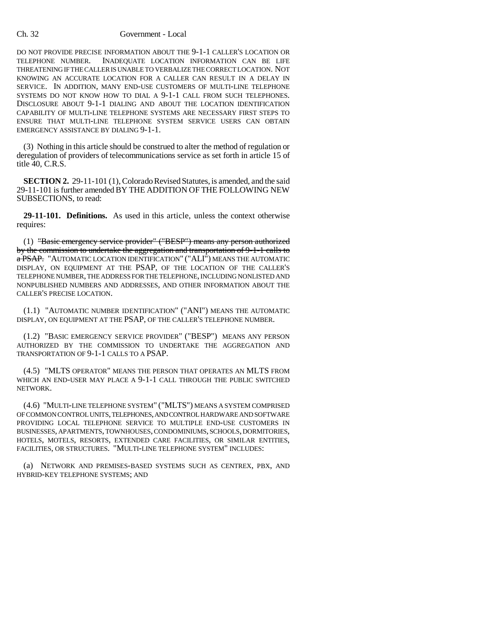## Ch. 32 Government - Local

DO NOT PROVIDE PRECISE INFORMATION ABOUT THE 9-1-1 CALLER'S LOCATION OR TELEPHONE NUMBER. INADEQUATE LOCATION INFORMATION CAN BE LIFE THREATENING IF THE CALLER IS UNABLE TO VERBALIZE THE CORRECT LOCATION. NOT KNOWING AN ACCURATE LOCATION FOR A CALLER CAN RESULT IN A DELAY IN SERVICE. IN ADDITION, MANY END-USE CUSTOMERS OF MULTI-LINE TELEPHONE SYSTEMS DO NOT KNOW HOW TO DIAL A 9-1-1 CALL FROM SUCH TELEPHONES. DISCLOSURE ABOUT 9-1-1 DIALING AND ABOUT THE LOCATION IDENTIFICATION CAPABILITY OF MULTI-LINE TELEPHONE SYSTEMS ARE NECESSARY FIRST STEPS TO ENSURE THAT MULTI-LINE TELEPHONE SYSTEM SERVICE USERS CAN OBTAIN EMERGENCY ASSISTANCE BY DIALING 9-1-1.

(3) Nothing in this article should be construed to alter the method of regulation or deregulation of providers of telecommunications service as set forth in article 15 of title 40, C.R.S.

**SECTION 2.** 29-11-101 (1), Colorado Revised Statutes, is amended, and the said 29-11-101 is further amended BY THE ADDITION OF THE FOLLOWING NEW SUBSECTIONS, to read:

**29-11-101. Definitions.** As used in this article, unless the context otherwise requires:

(1) "Basic emergency service provider" ("BESP") means any person authorized by the commission to undertake the aggregation and transportation of 9-1-1 calls to a PSAP. "AUTOMATIC LOCATION IDENTIFICATION" ("ALI") MEANS THE AUTOMATIC DISPLAY, ON EQUIPMENT AT THE PSAP, OF THE LOCATION OF THE CALLER'S TELEPHONE NUMBER, THE ADDRESS FOR THE TELEPHONE, INCLUDING NONLISTED AND NONPUBLISHED NUMBERS AND ADDRESSES, AND OTHER INFORMATION ABOUT THE CALLER'S PRECISE LOCATION.

(1.1) "AUTOMATIC NUMBER IDENTIFICATION" ("ANI") MEANS THE AUTOMATIC DISPLAY, ON EQUIPMENT AT THE PSAP, OF THE CALLER'S TELEPHONE NUMBER.

(1.2) "BASIC EMERGENCY SERVICE PROVIDER" ("BESP") MEANS ANY PERSON AUTHORIZED BY THE COMMISSION TO UNDERTAKE THE AGGREGATION AND TRANSPORTATION OF 9-1-1 CALLS TO A PSAP.

(4.5) "MLTS OPERATOR" MEANS THE PERSON THAT OPERATES AN MLTS FROM WHICH AN END-USER MAY PLACE A 9-1-1 CALL THROUGH THE PUBLIC SWITCHED NETWORK.

(4.6) "MULTI-LINE TELEPHONE SYSTEM" ("MLTS") MEANS A SYSTEM COMPRISED OF COMMON CONTROL UNITS, TELEPHONES, AND CONTROL HARDWARE AND SOFTWARE PROVIDING LOCAL TELEPHONE SERVICE TO MULTIPLE END-USE CUSTOMERS IN BUSINESSES, APARTMENTS, TOWNHOUSES, CONDOMINIUMS, SCHOOLS, DORMITORIES, HOTELS, MOTELS, RESORTS, EXTENDED CARE FACILITIES, OR SIMILAR ENTITIES, FACILITIES, OR STRUCTURES. "MULTI-LINE TELEPHONE SYSTEM" INCLUDES:

(a) NETWORK AND PREMISES-BASED SYSTEMS SUCH AS CENTREX, PBX, AND HYBRID-KEY TELEPHONE SYSTEMS; AND